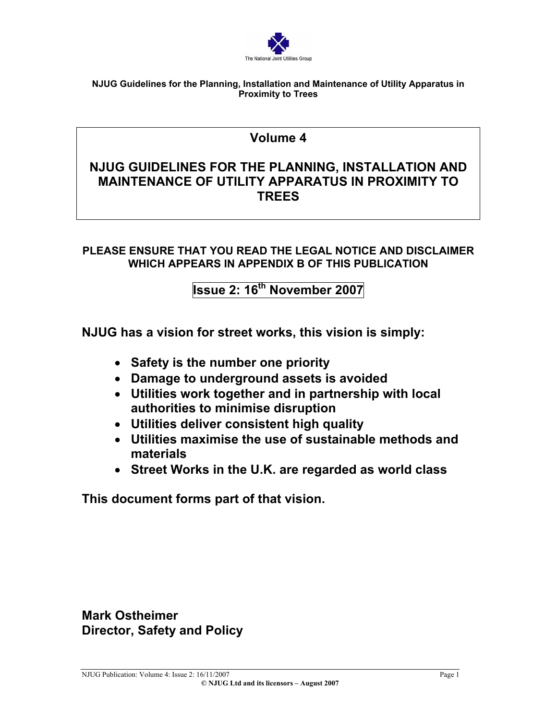

# **Volume 4**

# **NJUG GUIDELINES FOR THE PLANNING, INSTALLATION AND MAINTENANCE OF UTILITY APPARATUS IN PROXIMITY TO TREES**

# **PLEASE ENSURE THAT YOU READ THE LEGAL NOTICE AND DISCLAIMER WHICH APPEARS IN APPENDIX B OF THIS PUBLICATION**

# **Issue 2: 16th November 2007**

**NJUG has a vision for street works, this vision is simply:** 

- **Safety is the number one priority**
- **Damage to underground assets is avoided**
- **Utilities work together and in partnership with local authorities to minimise disruption**
- **Utilities deliver consistent high quality**
- **Utilities maximise the use of sustainable methods and materials**
- **Street Works in the U.K. are regarded as world class**

**This document forms part of that vision.** 

**Mark Ostheimer Director, Safety and Policy**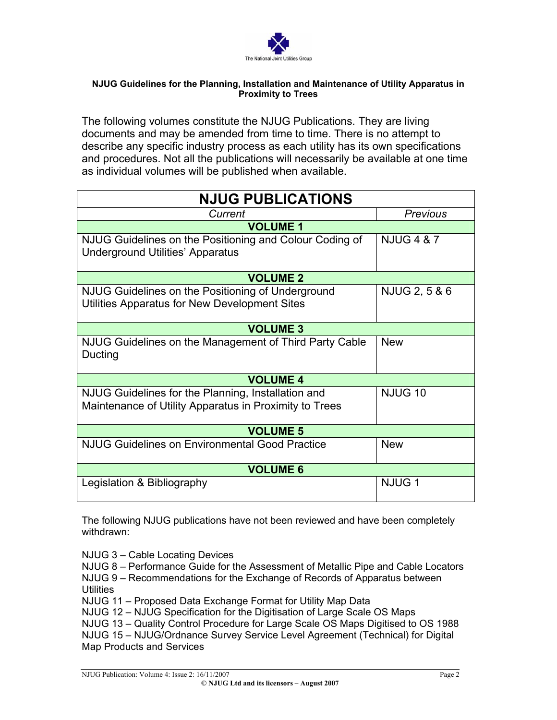

The following volumes constitute the NJUG Publications. They are living documents and may be amended from time to time. There is no attempt to describe any specific industry process as each utility has its own specifications and procedures. Not all the publications will necessarily be available at one time as individual volumes will be published when available.

| <b>NJUG PUBLICATIONS</b>                                                                                     |                       |  |  |
|--------------------------------------------------------------------------------------------------------------|-----------------------|--|--|
| Current                                                                                                      | Previous              |  |  |
| <b>VOLUME 1</b>                                                                                              |                       |  |  |
| NJUG Guidelines on the Positioning and Colour Coding of<br><b>Underground Utilities' Apparatus</b>           | <b>NJUG 4 &amp; 7</b> |  |  |
| <b>VOLUME 2</b>                                                                                              |                       |  |  |
| NJUG Guidelines on the Positioning of Underground<br>Utilities Apparatus for New Development Sites           | NJUG 2, 5 & 6         |  |  |
| <b>VOLUME 3</b>                                                                                              |                       |  |  |
| NJUG Guidelines on the Management of Third Party Cable<br>Ducting                                            | <b>New</b>            |  |  |
| <b>VOLUME 4</b>                                                                                              |                       |  |  |
| NJUG Guidelines for the Planning, Installation and<br>Maintenance of Utility Apparatus in Proximity to Trees | <b>NJUG 10</b>        |  |  |
| <b>VOLUME 5</b>                                                                                              |                       |  |  |
| <b>NJUG Guidelines on Environmental Good Practice</b>                                                        | <b>New</b>            |  |  |
| <b>VOLUME 6</b>                                                                                              |                       |  |  |
| Legislation & Bibliography                                                                                   | NJUG <sub>1</sub>     |  |  |

The following NJUG publications have not been reviewed and have been completely withdrawn:

NJUG 3 – Cable Locating Devices

NJUG 8 – Performance Guide for the Assessment of Metallic Pipe and Cable Locators NJUG 9 – Recommendations for the Exchange of Records of Apparatus between **Utilities** 

NJUG 11 – Proposed Data Exchange Format for Utility Map Data

NJUG 12 – NJUG Specification for the Digitisation of Large Scale OS Maps

NJUG 13 – Quality Control Procedure for Large Scale OS Maps Digitised to OS 1988

NJUG 15 – NJUG/Ordnance Survey Service Level Agreement (Technical) for Digital Map Products and Services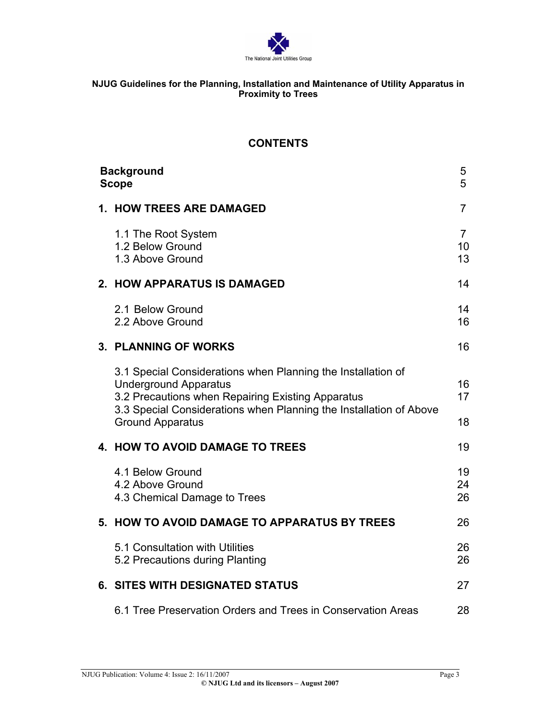

# **CONTENTS**

|                                                                                                                                                                                                                                                    | 5<br>5                                                                                                                                                                                                                                                   |
|----------------------------------------------------------------------------------------------------------------------------------------------------------------------------------------------------------------------------------------------------|----------------------------------------------------------------------------------------------------------------------------------------------------------------------------------------------------------------------------------------------------------|
|                                                                                                                                                                                                                                                    | 7                                                                                                                                                                                                                                                        |
| 1.1 The Root System<br>1.2 Below Ground<br>1.3 Above Ground                                                                                                                                                                                        | $\overline{7}$<br>10<br>13                                                                                                                                                                                                                               |
|                                                                                                                                                                                                                                                    | 14                                                                                                                                                                                                                                                       |
| 2.1 Below Ground<br>2.2 Above Ground                                                                                                                                                                                                               | 14<br>16                                                                                                                                                                                                                                                 |
|                                                                                                                                                                                                                                                    | 16                                                                                                                                                                                                                                                       |
| 3.1 Special Considerations when Planning the Installation of<br><b>Underground Apparatus</b><br>3.2 Precautions when Repairing Existing Apparatus<br>3.3 Special Considerations when Planning the Installation of Above<br><b>Ground Apparatus</b> | 16<br>17<br>18                                                                                                                                                                                                                                           |
|                                                                                                                                                                                                                                                    | 19                                                                                                                                                                                                                                                       |
| 4.1 Below Ground<br>4.2 Above Ground<br>4.3 Chemical Damage to Trees                                                                                                                                                                               | 19<br>24<br>26                                                                                                                                                                                                                                           |
|                                                                                                                                                                                                                                                    | 26                                                                                                                                                                                                                                                       |
| 5.1 Consultation with Utilities<br>5.2 Precautions during Planting                                                                                                                                                                                 | 26<br>26                                                                                                                                                                                                                                                 |
|                                                                                                                                                                                                                                                    | 27                                                                                                                                                                                                                                                       |
| 6.1 Tree Preservation Orders and Trees in Conservation Areas                                                                                                                                                                                       | 28                                                                                                                                                                                                                                                       |
|                                                                                                                                                                                                                                                    | <b>Background</b><br><b>Scope</b><br><b>1. HOW TREES ARE DAMAGED</b><br>2. HOW APPARATUS IS DAMAGED<br>3. PLANNING OF WORKS<br>4. HOW TO AVOID DAMAGE TO TREES<br>5. HOW TO AVOID DAMAGE TO APPARATUS BY TREES<br><b>6. SITES WITH DESIGNATED STATUS</b> |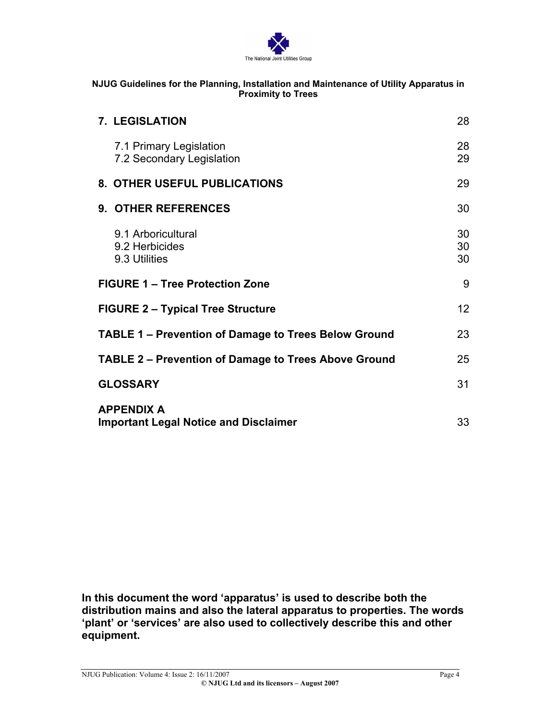

| <b>7. LEGISLATION</b>                                             | 28              |
|-------------------------------------------------------------------|-----------------|
| 7.1 Primary Legislation<br>7.2 Secondary Legislation              | 28<br>29        |
| 8. OTHER USEFUL PUBLICATIONS                                      | 29              |
| 9. OTHER REFERENCES                                               | 30              |
| 9.1 Arboricultural<br>9.2 Herbicides<br>9.3 Utilities             | 30<br>30<br>30  |
| <b>FIGURE 1 – Tree Protection Zone</b>                            | 9               |
| <b>FIGURE 2 – Typical Tree Structure</b>                          | 12 <sup>2</sup> |
| <b>TABLE 1 – Prevention of Damage to Trees Below Ground</b>       | 23              |
| <b>TABLE 2 – Prevention of Damage to Trees Above Ground</b>       | 25              |
| <b>GLOSSARY</b>                                                   | 31              |
| <b>APPENDIX A</b><br><b>Important Legal Notice and Disclaimer</b> | 33              |

**In this document the word 'apparatus' is used to describe both the distribution mains and also the lateral apparatus to properties. The words 'plant' or 'services' are also used to collectively describe this and other equipment.**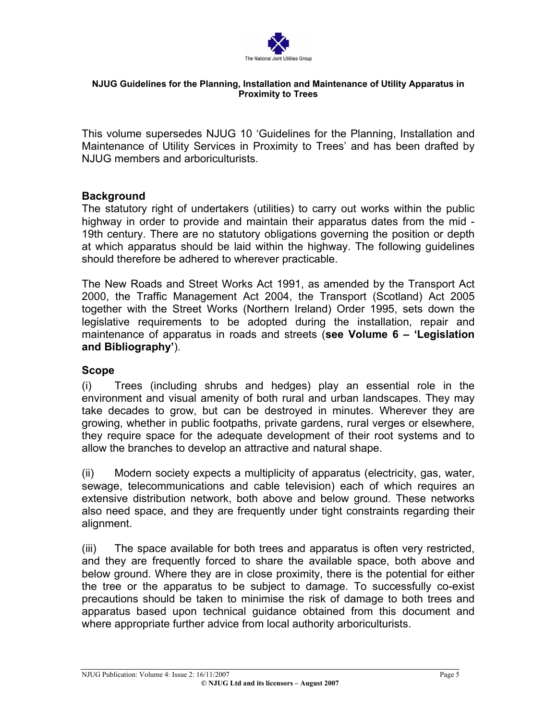

This volume supersedes NJUG 10 'Guidelines for the Planning, Installation and Maintenance of Utility Services in Proximity to Trees' and has been drafted by NJUG members and arboriculturists.

# **Background**

The statutory right of undertakers (utilities) to carry out works within the public highway in order to provide and maintain their apparatus dates from the mid - 19th century. There are no statutory obligations governing the position or depth at which apparatus should be laid within the highway. The following guidelines should therefore be adhered to wherever practicable.

The New Roads and Street Works Act 1991, as amended by the Transport Act 2000, the Traffic Management Act 2004, the Transport (Scotland) Act 2005 together with the Street Works (Northern Ireland) Order 1995, sets down the legislative requirements to be adopted during the installation, repair and maintenance of apparatus in roads and streets (**see Volume 6 – 'Legislation and Bibliography'**).

# **Scope**

(i) Trees (including shrubs and hedges) play an essential role in the environment and visual amenity of both rural and urban landscapes. They may take decades to grow, but can be destroyed in minutes. Wherever they are growing, whether in public footpaths, private gardens, rural verges or elsewhere, they require space for the adequate development of their root systems and to allow the branches to develop an attractive and natural shape.

(ii) Modern society expects a multiplicity of apparatus (electricity, gas, water, sewage, telecommunications and cable television) each of which requires an extensive distribution network, both above and below ground. These networks also need space, and they are frequently under tight constraints regarding their alignment.

(iii) The space available for both trees and apparatus is often very restricted, and they are frequently forced to share the available space, both above and below ground. Where they are in close proximity, there is the potential for either the tree or the apparatus to be subject to damage. To successfully co-exist precautions should be taken to minimise the risk of damage to both trees and apparatus based upon technical guidance obtained from this document and where appropriate further advice from local authority arboriculturists.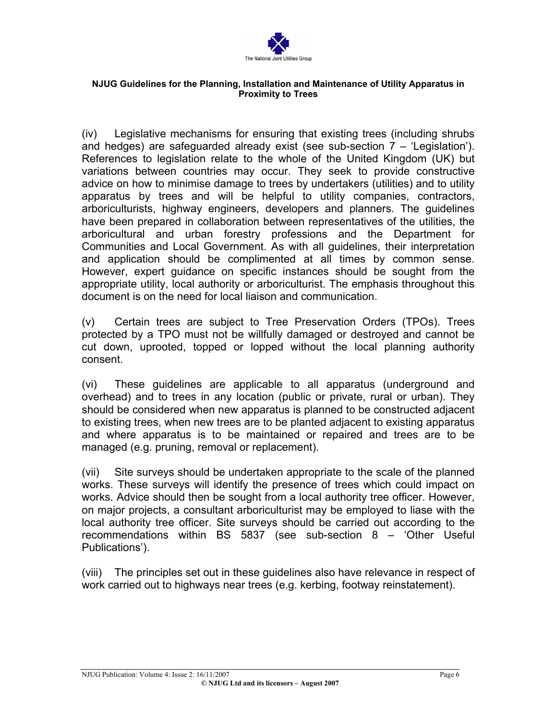

(iv) Legislative mechanisms for ensuring that existing trees (including shrubs and hedges) are safeguarded already exist (see sub-section  $7 - 'L$ egislation'). References to legislation relate to the whole of the United Kingdom (UK) but variations between countries may occur. They seek to provide constructive advice on how to minimise damage to trees by undertakers (utilities) and to utility apparatus by trees and will be helpful to utility companies, contractors, arboriculturists, highway engineers, developers and planners. The guidelines have been prepared in collaboration between representatives of the utilities, the arboricultural and urban forestry professions and the Department for Communities and Local Government. As with all guidelines, their interpretation and application should be complimented at all times by common sense. However, expert guidance on specific instances should be sought from the appropriate utility, local authority or arboriculturist. The emphasis throughout this document is on the need for local liaison and communication.

(v) Certain trees are subject to Tree Preservation Orders (TPOs). Trees protected by a TPO must not be willfully damaged or destroyed and cannot be cut down, uprooted, topped or lopped without the local planning authority consent.

(vi) These guidelines are applicable to all apparatus (underground and overhead) and to trees in any location (public or private, rural or urban). They should be considered when new apparatus is planned to be constructed adjacent to existing trees, when new trees are to be planted adjacent to existing apparatus and where apparatus is to be maintained or repaired and trees are to be managed (e.g. pruning, removal or replacement).

(vii) Site surveys should be undertaken appropriate to the scale of the planned works. These surveys will identify the presence of trees which could impact on works. Advice should then be sought from a local authority tree officer. However, on major projects, a consultant arboriculturist may be employed to liase with the local authority tree officer. Site surveys should be carried out according to the recommendations within BS 5837 (see sub-section 8 – 'Other Useful Publications').

(viii) The principles set out in these guidelines also have relevance in respect of work carried out to highways near trees (e.g. kerbing, footway reinstatement).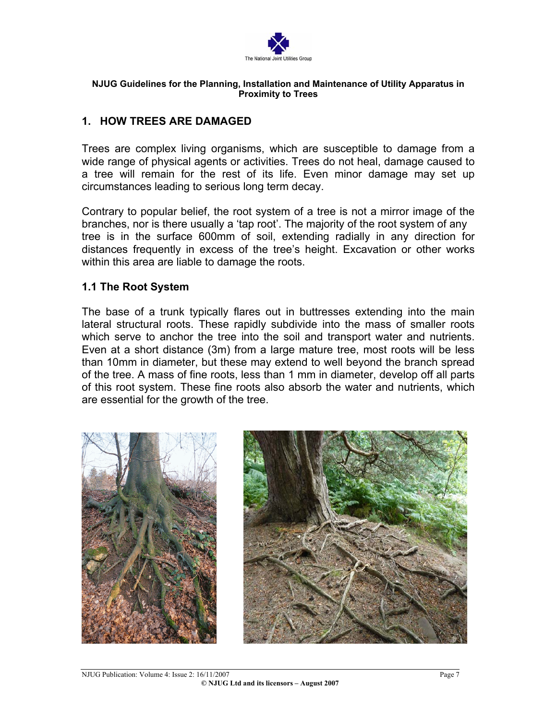

# **1. HOW TREES ARE DAMAGED**

Trees are complex living organisms, which are susceptible to damage from a wide range of physical agents or activities. Trees do not heal, damage caused to a tree will remain for the rest of its life. Even minor damage may set up circumstances leading to serious long term decay.

Contrary to popular belief, the root system of a tree is not a mirror image of the branches, nor is there usually a 'tap root'. The majority of the root system of any tree is in the surface 600mm of soil, extending radially in any direction for distances frequently in excess of the tree's height. Excavation or other works within this area are liable to damage the roots.

## **1.1 The Root System**

The base of a trunk typically flares out in buttresses extending into the main lateral structural roots. These rapidly subdivide into the mass of smaller roots which serve to anchor the tree into the soil and transport water and nutrients. Even at a short distance (3m) from a large mature tree, most roots will be less than 10mm in diameter, but these may extend to well beyond the branch spread of the tree. A mass of fine roots, less than 1 mm in diameter, develop off all parts of this root system. These fine roots also absorb the water and nutrients, which are essential for the growth of the tree.



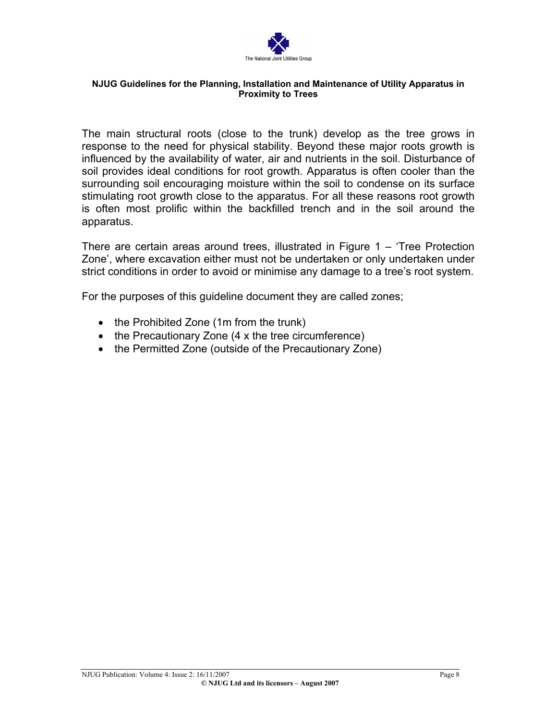

The main structural roots (close to the trunk) develop as the tree grows in response to the need for physical stability. Beyond these major roots growth is influenced by the availability of water, air and nutrients in the soil. Disturbance of soil provides ideal conditions for root growth. Apparatus is often cooler than the surrounding soil encouraging moisture within the soil to condense on its surface stimulating root growth close to the apparatus. For all these reasons root growth is often most prolific within the backfilled trench and in the soil around the apparatus.

There are certain areas around trees, illustrated in Figure 1 – 'Tree Protection Zone', where excavation either must not be undertaken or only undertaken under strict conditions in order to avoid or minimise any damage to a tree's root system.

For the purposes of this guideline document they are called zones;

- the Prohibited Zone (1m from the trunk)
- the Precautionary Zone (4 x the tree circumference)
- the Permitted Zone (outside of the Precautionary Zone)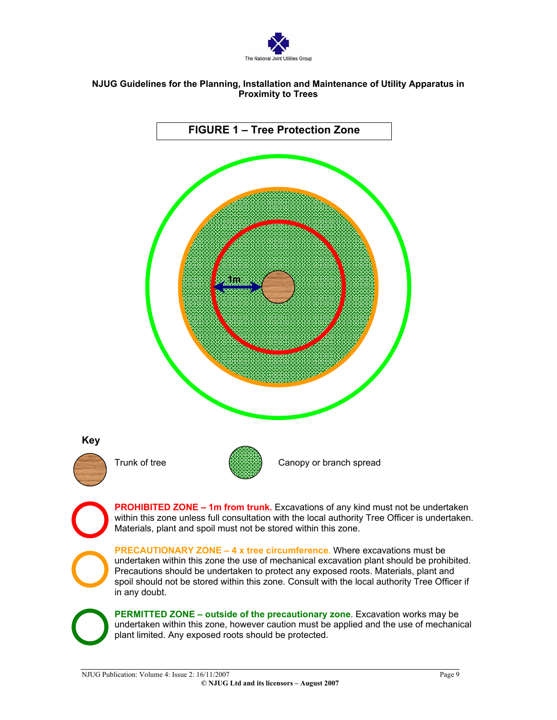

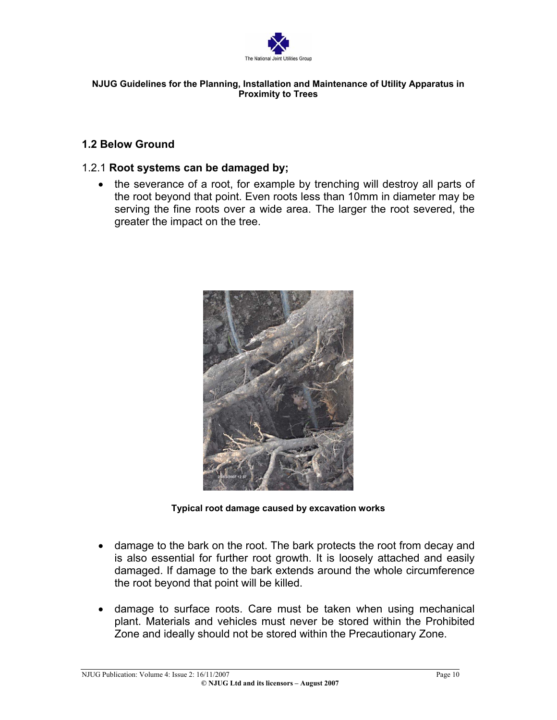

# **1.2 Below Ground**

## 1.2.1 **Root systems can be damaged by;**

• the severance of a root, for example by trenching will destroy all parts of the root beyond that point. Even roots less than 10mm in diameter may be serving the fine roots over a wide area. The larger the root severed, the greater the impact on the tree.



**Typical root damage caused by excavation works**

- damage to the bark on the root. The bark protects the root from decay and is also essential for further root growth. It is loosely attached and easily damaged. If damage to the bark extends around the whole circumference the root beyond that point will be killed.
- damage to surface roots. Care must be taken when using mechanical plant. Materials and vehicles must never be stored within the Prohibited Zone and ideally should not be stored within the Precautionary Zone.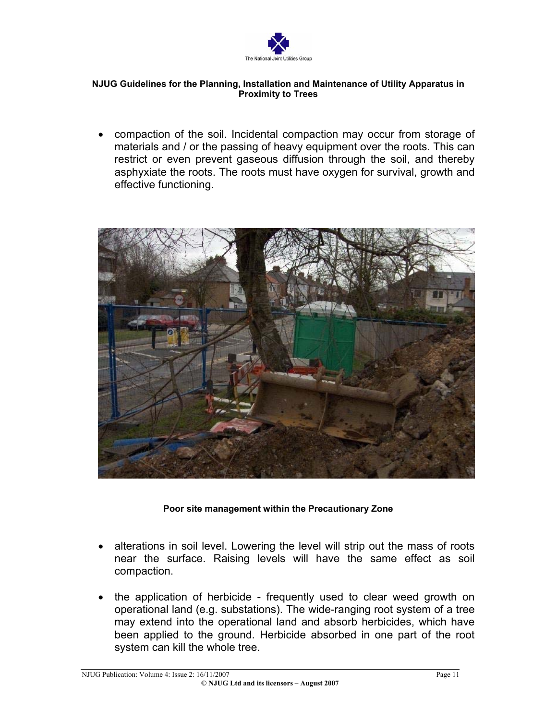

• compaction of the soil. Incidental compaction may occur from storage of materials and / or the passing of heavy equipment over the roots. This can restrict or even prevent gaseous diffusion through the soil, and thereby asphyxiate the roots. The roots must have oxygen for survival, growth and effective functioning.



## **Poor site management within the Precautionary Zone**

- alterations in soil level. Lowering the level will strip out the mass of roots near the surface. Raising levels will have the same effect as soil compaction.
- the application of herbicide frequently used to clear weed growth on operational land (e.g. substations). The wide-ranging root system of a tree may extend into the operational land and absorb herbicides, which have been applied to the ground. Herbicide absorbed in one part of the root system can kill the whole tree.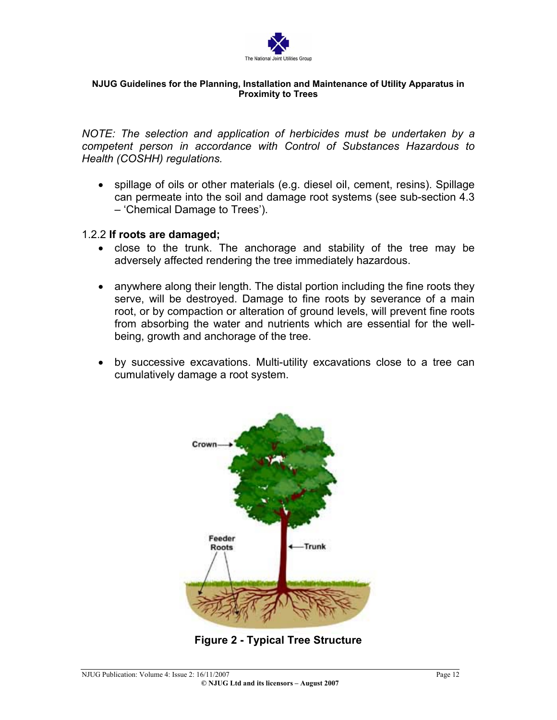

*NOTE: The selection and application of herbicides must be undertaken by a competent person in accordance with Control of Substances Hazardous to Health (COSHH) regulations.*

• spillage of oils or other materials (e.g. diesel oil, cement, resins). Spillage can permeate into the soil and damage root systems (see sub-section 4.3 – 'Chemical Damage to Trees').

## 1.2.2 **If roots are damaged;**

- close to the trunk. The anchorage and stability of the tree may be adversely affected rendering the tree immediately hazardous.
- anywhere along their length. The distal portion including the fine roots they serve, will be destroyed. Damage to fine roots by severance of a main root, or by compaction or alteration of ground levels, will prevent fine roots from absorbing the water and nutrients which are essential for the wellbeing, growth and anchorage of the tree.
- by successive excavations. Multi-utility excavations close to a tree can cumulatively damage a root system.



**Figure 2 - Typical Tree Structure**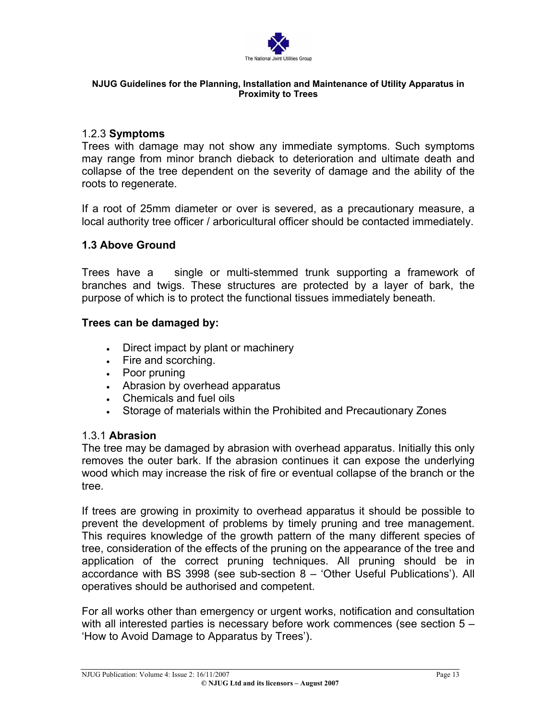

## 1.2.3 **Symptoms**

Trees with damage may not show any immediate symptoms. Such symptoms may range from minor branch dieback to deterioration and ultimate death and collapse of the tree dependent on the severity of damage and the ability of the roots to regenerate.

If a root of 25mm diameter or over is severed, as a precautionary measure, a local authority tree officer / arboricultural officer should be contacted immediately.

# **1.3 Above Ground**

Trees have a single or multi-stemmed trunk supporting a framework of branches and twigs. These structures are protected by a layer of bark, the purpose of which is to protect the functional tissues immediately beneath.

## **Trees can be damaged by:**

- Direct impact by plant or machinery
- Fire and scorching.
- Poor pruning
- Abrasion by overhead apparatus
- Chemicals and fuel oils
- Storage of materials within the Prohibited and Precautionary Zones

# 1.3.1 **Abrasion**

The tree may be damaged by abrasion with overhead apparatus. Initially this only removes the outer bark. If the abrasion continues it can expose the underlying wood which may increase the risk of fire or eventual collapse of the branch or the tree.

If trees are growing in proximity to overhead apparatus it should be possible to prevent the development of problems by timely pruning and tree management. This requires knowledge of the growth pattern of the many different species of tree, consideration of the effects of the pruning on the appearance of the tree and application of the correct pruning techniques. All pruning should be in accordance with BS 3998 (see sub-section 8 – 'Other Useful Publications'). All operatives should be authorised and competent.

For all works other than emergency or urgent works, notification and consultation with all interested parties is necessary before work commences (see section 5 – 'How to Avoid Damage to Apparatus by Trees').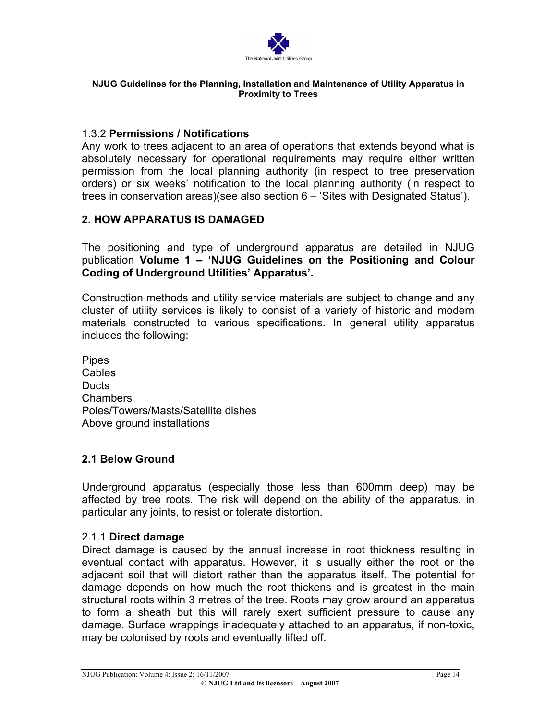

## 1.3.2 **Permissions / Notifications**

Any work to trees adjacent to an area of operations that extends beyond what is absolutely necessary for operational requirements may require either written permission from the local planning authority (in respect to tree preservation orders) or six weeks' notification to the local planning authority (in respect to trees in conservation areas)(see also section 6 – 'Sites with Designated Status').

# **2. HOW APPARATUS IS DAMAGED**

The positioning and type of underground apparatus are detailed in NJUG publication **Volume 1 – 'NJUG Guidelines on the Positioning and Colour Coding of Underground Utilities' Apparatus'.**

Construction methods and utility service materials are subject to change and any cluster of utility services is likely to consist of a variety of historic and modern materials constructed to various specifications. In general utility apparatus includes the following:

Pipes Cables **Ducts** Chambers Poles/Towers/Masts/Satellite dishes Above ground installations

# **2.1 Below Ground**

Underground apparatus (especially those less than 600mm deep) may be affected by tree roots. The risk will depend on the ability of the apparatus, in particular any joints, to resist or tolerate distortion.

# 2.1.1 **Direct damage**

Direct damage is caused by the annual increase in root thickness resulting in eventual contact with apparatus. However, it is usually either the root or the adjacent soil that will distort rather than the apparatus itself. The potential for damage depends on how much the root thickens and is greatest in the main structural roots within 3 metres of the tree. Roots may grow around an apparatus to form a sheath but this will rarely exert sufficient pressure to cause any damage. Surface wrappings inadequately attached to an apparatus, if non-toxic, may be colonised by roots and eventually lifted off.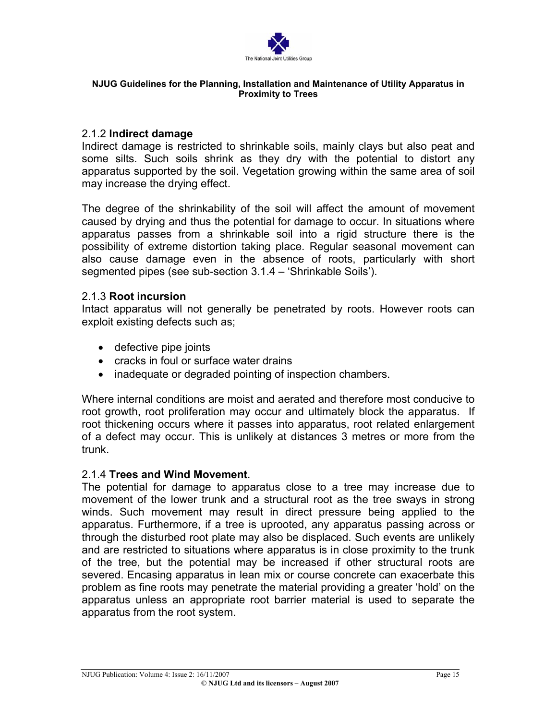

## 2.1.2 **Indirect damage**

Indirect damage is restricted to shrinkable soils, mainly clays but also peat and some silts. Such soils shrink as they dry with the potential to distort any apparatus supported by the soil. Vegetation growing within the same area of soil may increase the drying effect.

The degree of the shrinkability of the soil will affect the amount of movement caused by drying and thus the potential for damage to occur. In situations where apparatus passes from a shrinkable soil into a rigid structure there is the possibility of extreme distortion taking place. Regular seasonal movement can also cause damage even in the absence of roots, particularly with short segmented pipes (see sub-section 3.1.4 – 'Shrinkable Soils').

## 2.1.3 **Root incursion**

Intact apparatus will not generally be penetrated by roots. However roots can exploit existing defects such as;

- defective pipe joints
- cracks in foul or surface water drains
- inadequate or degraded pointing of inspection chambers.

Where internal conditions are moist and aerated and therefore most conducive to root growth, root proliferation may occur and ultimately block the apparatus. If root thickening occurs where it passes into apparatus, root related enlargement of a defect may occur. This is unlikely at distances 3 metres or more from the trunk.

# 2.1.4 **Trees and Wind Movement**.

The potential for damage to apparatus close to a tree may increase due to movement of the lower trunk and a structural root as the tree sways in strong winds. Such movement may result in direct pressure being applied to the apparatus. Furthermore, if a tree is uprooted, any apparatus passing across or through the disturbed root plate may also be displaced. Such events are unlikely and are restricted to situations where apparatus is in close proximity to the trunk of the tree, but the potential may be increased if other structural roots are severed. Encasing apparatus in lean mix or course concrete can exacerbate this problem as fine roots may penetrate the material providing a greater 'hold' on the apparatus unless an appropriate root barrier material is used to separate the apparatus from the root system.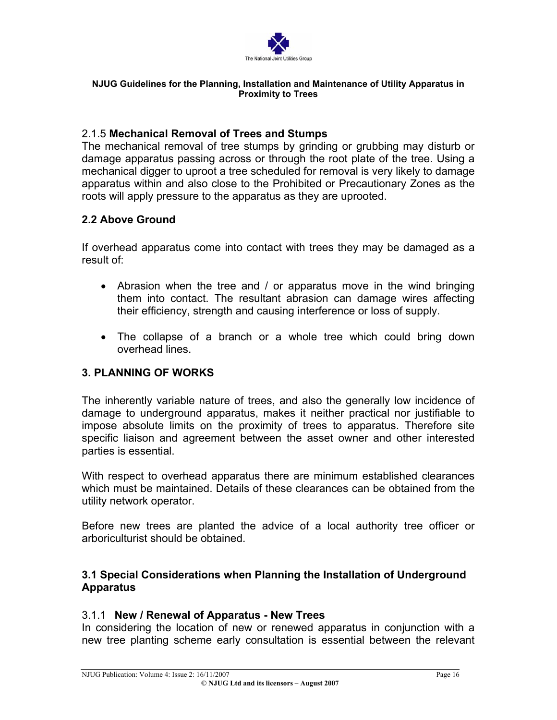

# 2.1.5 **Mechanical Removal of Trees and Stumps**

The mechanical removal of tree stumps by grinding or grubbing may disturb or damage apparatus passing across or through the root plate of the tree. Using a mechanical digger to uproot a tree scheduled for removal is very likely to damage apparatus within and also close to the Prohibited or Precautionary Zones as the roots will apply pressure to the apparatus as they are uprooted.

# **2.2 Above Ground**

If overhead apparatus come into contact with trees they may be damaged as a result of:

- Abrasion when the tree and / or apparatus move in the wind bringing them into contact. The resultant abrasion can damage wires affecting their efficiency, strength and causing interference or loss of supply.
- The collapse of a branch or a whole tree which could bring down overhead lines.

# **3. PLANNING OF WORKS**

The inherently variable nature of trees, and also the generally low incidence of damage to underground apparatus, makes it neither practical nor justifiable to impose absolute limits on the proximity of trees to apparatus. Therefore site specific liaison and agreement between the asset owner and other interested parties is essential.

With respect to overhead apparatus there are minimum established clearances which must be maintained. Details of these clearances can be obtained from the utility network operator.

Before new trees are planted the advice of a local authority tree officer or arboriculturist should be obtained.

# **3.1 Special Considerations when Planning the Installation of Underground Apparatus**

# 3.1.1 **New / Renewal of Apparatus - New Trees**

In considering the location of new or renewed apparatus in conjunction with a new tree planting scheme early consultation is essential between the relevant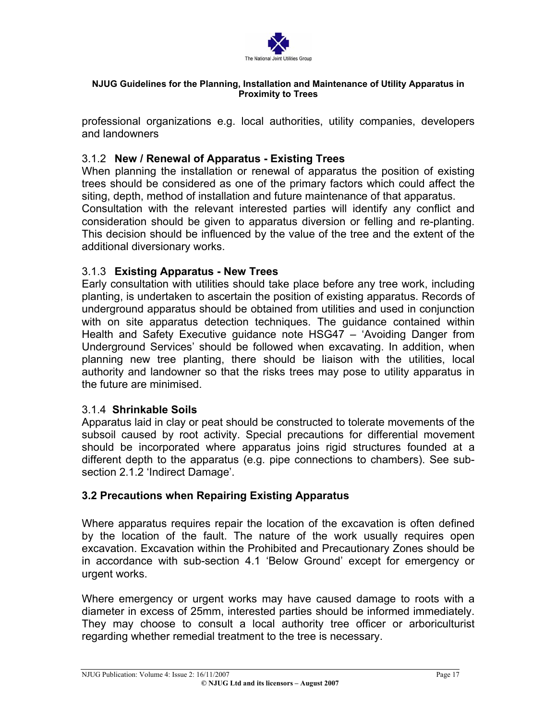

professional organizations e.g. local authorities, utility companies, developers and landowners

# 3.1.2 **New / Renewal of Apparatus - Existing Trees**

When planning the installation or renewal of apparatus the position of existing trees should be considered as one of the primary factors which could affect the siting, depth, method of installation and future maintenance of that apparatus.

Consultation with the relevant interested parties will identify any conflict and consideration should be given to apparatus diversion or felling and re-planting. This decision should be influenced by the value of the tree and the extent of the additional diversionary works.

# 3.1.3 **Existing Apparatus - New Trees**

Early consultation with utilities should take place before any tree work, including planting, is undertaken to ascertain the position of existing apparatus. Records of underground apparatus should be obtained from utilities and used in conjunction with on site apparatus detection techniques. The guidance contained within Health and Safety Executive guidance note HSG47 – 'Avoiding Danger from Underground Services' should be followed when excavating. In addition, when planning new tree planting, there should be liaison with the utilities, local authority and landowner so that the risks trees may pose to utility apparatus in the future are minimised.

# 3.1.4 **Shrinkable Soils**

Apparatus laid in clay or peat should be constructed to tolerate movements of the subsoil caused by root activity. Special precautions for differential movement should be incorporated where apparatus joins rigid structures founded at a different depth to the apparatus (e.g. pipe connections to chambers). See subsection 2.1.2 'Indirect Damage'.

# **3.2 Precautions when Repairing Existing Apparatus**

Where apparatus requires repair the location of the excavation is often defined by the location of the fault. The nature of the work usually requires open excavation. Excavation within the Prohibited and Precautionary Zones should be in accordance with sub-section 4.1 'Below Ground' except for emergency or urgent works.

Where emergency or urgent works may have caused damage to roots with a diameter in excess of 25mm, interested parties should be informed immediately. They may choose to consult a local authority tree officer or arboriculturist regarding whether remedial treatment to the tree is necessary.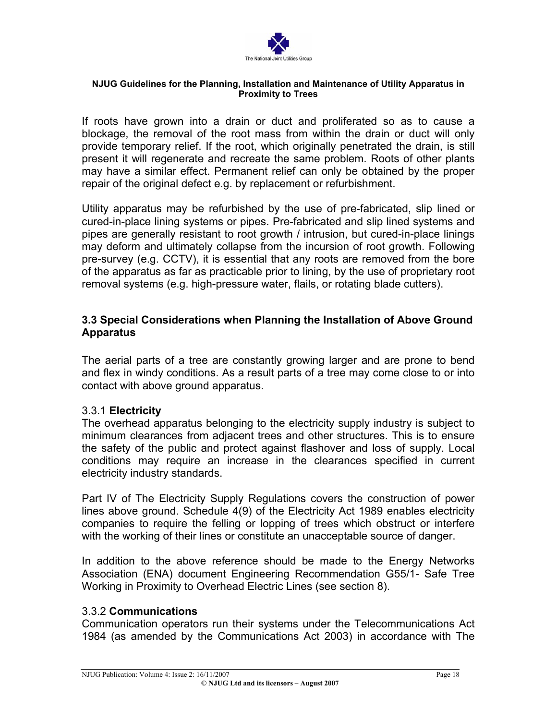

If roots have grown into a drain or duct and proliferated so as to cause a blockage, the removal of the root mass from within the drain or duct will only provide temporary relief. If the root, which originally penetrated the drain, is still present it will regenerate and recreate the same problem. Roots of other plants may have a similar effect. Permanent relief can only be obtained by the proper repair of the original defect e.g. by replacement or refurbishment.

Utility apparatus may be refurbished by the use of pre-fabricated, slip lined or cured-in-place lining systems or pipes. Pre-fabricated and slip lined systems and pipes are generally resistant to root growth / intrusion, but cured-in-place linings may deform and ultimately collapse from the incursion of root growth. Following pre-survey (e.g. CCTV), it is essential that any roots are removed from the bore of the apparatus as far as practicable prior to lining, by the use of proprietary root removal systems (e.g. high-pressure water, flails, or rotating blade cutters).

# **3.3 Special Considerations when Planning the Installation of Above Ground Apparatus**

The aerial parts of a tree are constantly growing larger and are prone to bend and flex in windy conditions. As a result parts of a tree may come close to or into contact with above ground apparatus.

# 3.3.1 **Electricity**

The overhead apparatus belonging to the electricity supply industry is subject to minimum clearances from adjacent trees and other structures. This is to ensure the safety of the public and protect against flashover and loss of supply. Local conditions may require an increase in the clearances specified in current electricity industry standards.

Part IV of The Electricity Supply Regulations covers the construction of power lines above ground. Schedule 4(9) of the Electricity Act 1989 enables electricity companies to require the felling or lopping of trees which obstruct or interfere with the working of their lines or constitute an unacceptable source of danger.

In addition to the above reference should be made to the Energy Networks Association (ENA) document Engineering Recommendation G55/1- Safe Tree Working in Proximity to Overhead Electric Lines (see section 8).

# 3.3.2 **Communications**

Communication operators run their systems under the Telecommunications Act 1984 (as amended by the Communications Act 2003) in accordance with The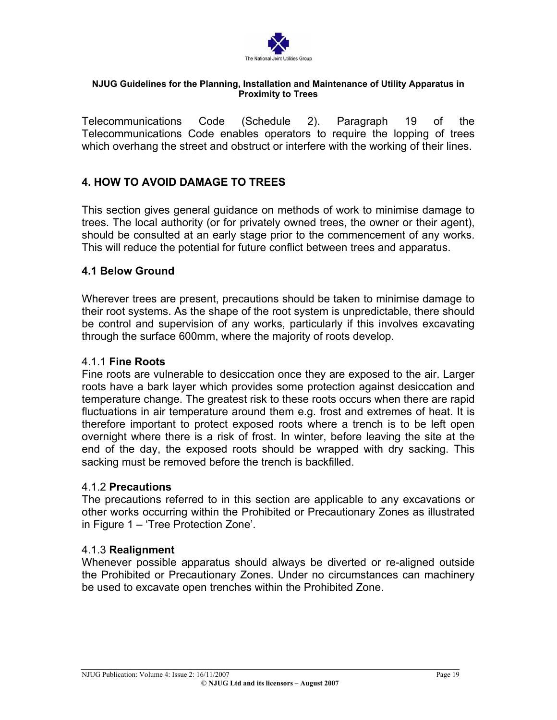

Telecommunications Code (Schedule 2). Paragraph 19 of the Telecommunications Code enables operators to require the lopping of trees which overhang the street and obstruct or interfere with the working of their lines.

# **4. HOW TO AVOID DAMAGE TO TREES**

This section gives general guidance on methods of work to minimise damage to trees. The local authority (or for privately owned trees, the owner or their agent), should be consulted at an early stage prior to the commencement of any works. This will reduce the potential for future conflict between trees and apparatus.

## **4.1 Below Ground**

Wherever trees are present, precautions should be taken to minimise damage to their root systems. As the shape of the root system is unpredictable, there should be control and supervision of any works, particularly if this involves excavating through the surface 600mm, where the majority of roots develop.

## 4.1.1 **Fine Roots**

Fine roots are vulnerable to desiccation once they are exposed to the air. Larger roots have a bark layer which provides some protection against desiccation and temperature change. The greatest risk to these roots occurs when there are rapid fluctuations in air temperature around them e.g. frost and extremes of heat. It is therefore important to protect exposed roots where a trench is to be left open overnight where there is a risk of frost. In winter, before leaving the site at the end of the day, the exposed roots should be wrapped with dry sacking. This sacking must be removed before the trench is backfilled.

## 4.1.2 **Precautions**

The precautions referred to in this section are applicable to any excavations or other works occurring within the Prohibited or Precautionary Zones as illustrated in Figure 1 – 'Tree Protection Zone'.

## 4.1.3 **Realignment**

Whenever possible apparatus should always be diverted or re-aligned outside the Prohibited or Precautionary Zones. Under no circumstances can machinery be used to excavate open trenches within the Prohibited Zone.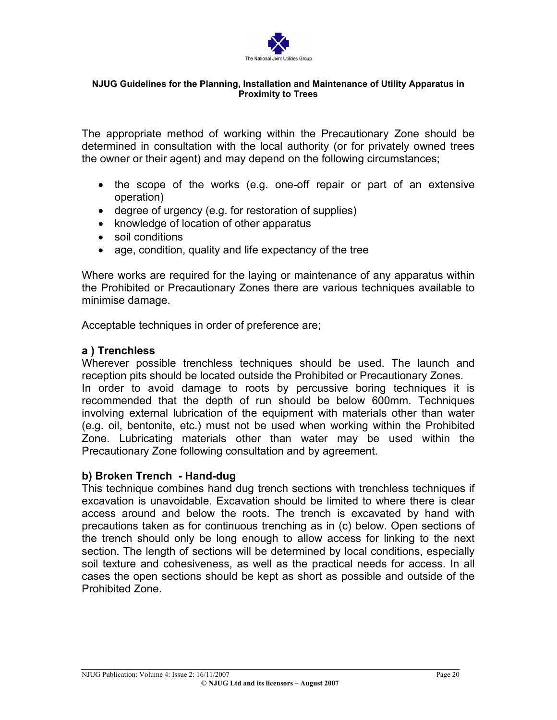

The appropriate method of working within the Precautionary Zone should be determined in consultation with the local authority (or for privately owned trees the owner or their agent) and may depend on the following circumstances;

- the scope of the works (e.g. one-off repair or part of an extensive operation)
- degree of urgency (e.g. for restoration of supplies)
- knowledge of location of other apparatus
- soil conditions
- age, condition, quality and life expectancy of the tree

Where works are required for the laying or maintenance of any apparatus within the Prohibited or Precautionary Zones there are various techniques available to minimise damage.

Acceptable techniques in order of preference are;

# **a ) Trenchless**

Wherever possible trenchless techniques should be used. The launch and reception pits should be located outside the Prohibited or Precautionary Zones. In order to avoid damage to roots by percussive boring techniques it is recommended that the depth of run should be below 600mm. Techniques involving external lubrication of the equipment with materials other than water (e.g. oil, bentonite, etc.) must not be used when working within the Prohibited Zone. Lubricating materials other than water may be used within the Precautionary Zone following consultation and by agreement.

# **b) Broken Trench - Hand-dug**

This technique combines hand dug trench sections with trenchless techniques if excavation is unavoidable. Excavation should be limited to where there is clear access around and below the roots. The trench is excavated by hand with precautions taken as for continuous trenching as in (c) below. Open sections of the trench should only be long enough to allow access for linking to the next section. The length of sections will be determined by local conditions, especially soil texture and cohesiveness, as well as the practical needs for access. In all cases the open sections should be kept as short as possible and outside of the Prohibited Zone.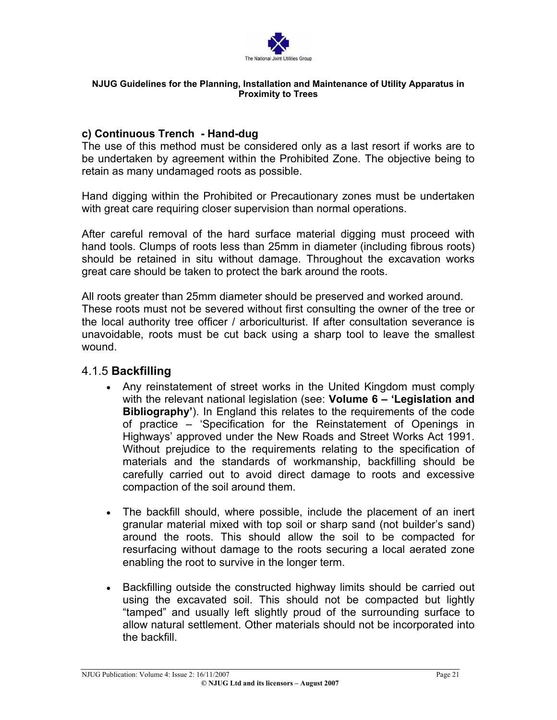

# **c) Continuous Trench - Hand-dug**

The use of this method must be considered only as a last resort if works are to be undertaken by agreement within the Prohibited Zone. The objective being to retain as many undamaged roots as possible.

Hand digging within the Prohibited or Precautionary zones must be undertaken with great care requiring closer supervision than normal operations.

After careful removal of the hard surface material digging must proceed with hand tools. Clumps of roots less than 25mm in diameter (including fibrous roots) should be retained in situ without damage. Throughout the excavation works great care should be taken to protect the bark around the roots.

All roots greater than 25mm diameter should be preserved and worked around. These roots must not be severed without first consulting the owner of the tree or the local authority tree officer / arboriculturist. If after consultation severance is unavoidable, roots must be cut back using a sharp tool to leave the smallest wound.

# 4.1.5 **Backfilling**

- Any reinstatement of street works in the United Kingdom must comply with the relevant national legislation (see: **Volume 6 – 'Legislation and Bibliography'**). In England this relates to the requirements of the code of practice – 'Specification for the Reinstatement of Openings in Highways' approved under the New Roads and Street Works Act 1991. Without prejudice to the requirements relating to the specification of materials and the standards of workmanship, backfilling should be carefully carried out to avoid direct damage to roots and excessive compaction of the soil around them.
- The backfill should, where possible, include the placement of an inert granular material mixed with top soil or sharp sand (not builder's sand) around the roots. This should allow the soil to be compacted for resurfacing without damage to the roots securing a local aerated zone enabling the root to survive in the longer term.
- Backfilling outside the constructed highway limits should be carried out using the excavated soil. This should not be compacted but lightly "tamped" and usually left slightly proud of the surrounding surface to allow natural settlement. Other materials should not be incorporated into the backfill.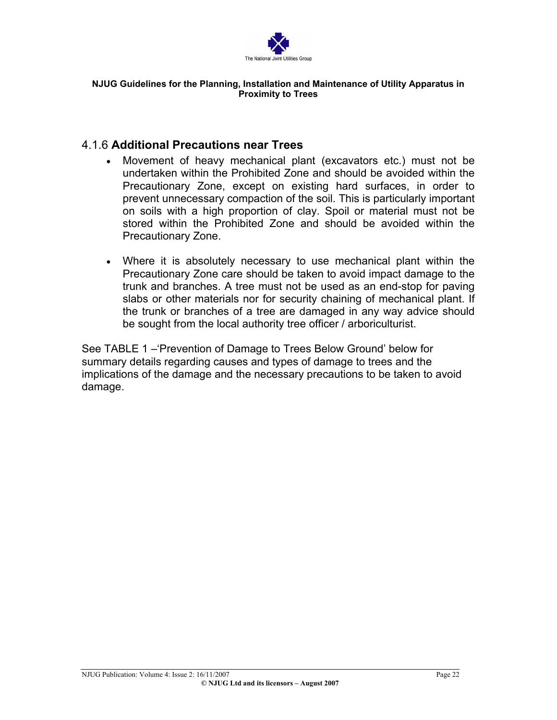

# 4.1.6 **Additional Precautions near Trees**

- Movement of heavy mechanical plant (excavators etc.) must not be undertaken within the Prohibited Zone and should be avoided within the Precautionary Zone, except on existing hard surfaces, in order to prevent unnecessary compaction of the soil. This is particularly important on soils with a high proportion of clay. Spoil or material must not be stored within the Prohibited Zone and should be avoided within the Precautionary Zone. •
- Where it is absolutely necessary to use mechanical plant within the Precautionary Zone care should be taken to avoid impact damage to the trunk and branches. A tree must not be used as an end-stop for paving slabs or other materials nor for security chaining of mechanical plant. If the trunk or branches of a tree are damaged in any way advice should be sought from the local authority tree officer / arboriculturist.

See TABLE 1 –'Prevention of Damage to Trees Below Ground' below for summary details regarding causes and types of damage to trees and the implications of the damage and the necessary precautions to be taken to avoid damage.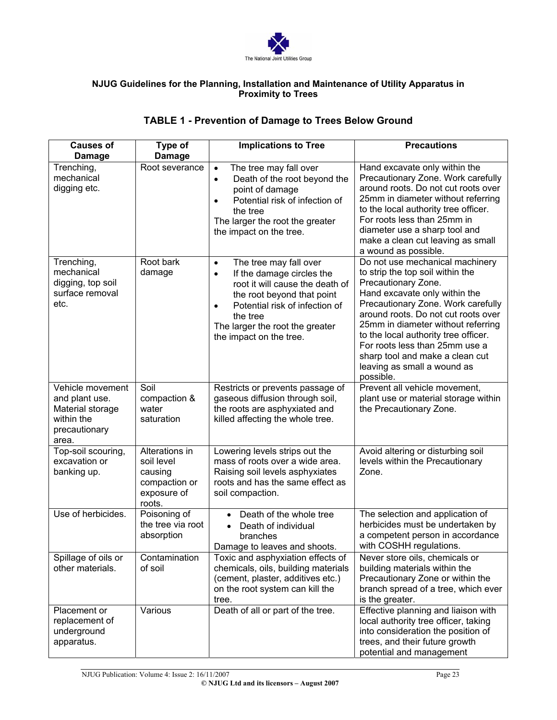

# **TABLE 1 - Prevention of Damage to Trees Below Ground**

| <b>Causes of</b><br>Damage                                                                     | Type of<br>Damage                                                                 | <b>Implications to Tree</b>                                                                                                                                                                                                                                             | <b>Precautions</b>                                                                                                                                                                                                                                                                                                                                                                                      |
|------------------------------------------------------------------------------------------------|-----------------------------------------------------------------------------------|-------------------------------------------------------------------------------------------------------------------------------------------------------------------------------------------------------------------------------------------------------------------------|---------------------------------------------------------------------------------------------------------------------------------------------------------------------------------------------------------------------------------------------------------------------------------------------------------------------------------------------------------------------------------------------------------|
| Trenching,<br>mechanical<br>digging etc.                                                       | Root severance                                                                    | The tree may fall over<br>$\bullet$<br>Death of the root beyond the<br>٠<br>point of damage<br>Potential risk of infection of<br>$\bullet$<br>the tree<br>The larger the root the greater<br>the impact on the tree.                                                    | Hand excavate only within the<br>Precautionary Zone. Work carefully<br>around roots. Do not cut roots over<br>25mm in diameter without referring<br>to the local authority tree officer.<br>For roots less than 25mm in<br>diameter use a sharp tool and<br>make a clean cut leaving as small<br>a wound as possible.                                                                                   |
| Trenching,<br>mechanical<br>digging, top soil<br>surface removal<br>etc.                       | Root bark<br>damage                                                               | The tree may fall over<br>$\bullet$<br>If the damage circles the<br>$\bullet$<br>root it will cause the death of<br>the root beyond that point<br>Potential risk of infection of<br>$\bullet$<br>the tree<br>The larger the root the greater<br>the impact on the tree. | Do not use mechanical machinery<br>to strip the top soil within the<br>Precautionary Zone.<br>Hand excavate only within the<br>Precautionary Zone. Work carefully<br>around roots. Do not cut roots over<br>25mm in diameter without referring<br>to the local authority tree officer.<br>For roots less than 25mm use a<br>sharp tool and make a clean cut<br>leaving as small a wound as<br>possible. |
| Vehicle movement<br>and plant use.<br>Material storage<br>within the<br>precautionary<br>area. | Soil<br>compaction &<br>water<br>saturation                                       | Restricts or prevents passage of<br>gaseous diffusion through soil,<br>the roots are asphyxiated and<br>killed affecting the whole tree.                                                                                                                                | Prevent all vehicle movement,<br>plant use or material storage within<br>the Precautionary Zone.                                                                                                                                                                                                                                                                                                        |
| Top-soil scouring,<br>excavation or<br>banking up.                                             | Alterations in<br>soil level<br>causing<br>compaction or<br>exposure of<br>roots. | Lowering levels strips out the<br>mass of roots over a wide area.<br>Raising soil levels asphyxiates<br>roots and has the same effect as<br>soil compaction.                                                                                                            | Avoid altering or disturbing soil<br>levels within the Precautionary<br>Zone.                                                                                                                                                                                                                                                                                                                           |
| Use of herbicides.                                                                             | Poisoning of<br>the tree via root<br>absorption                                   | Death of the whole tree<br>Death of individual<br>branches<br>Damage to leaves and shoots.                                                                                                                                                                              | The selection and application of<br>herbicides must be undertaken by<br>a competent person in accordance<br>with COSHH regulations.                                                                                                                                                                                                                                                                     |
| Spillage of oils or<br>other materials.                                                        | Contamination<br>of soil                                                          | Toxic and asphyxiation effects of<br>chemicals, oils, building materials<br>(cement, plaster, additives etc.)<br>on the root system can kill the<br>tree.                                                                                                               | Never store oils, chemicals or<br>building materials within the<br>Precautionary Zone or within the<br>branch spread of a tree, which ever<br>is the greater.                                                                                                                                                                                                                                           |
| Placement or<br>replacement of<br>underground<br>apparatus.                                    | Various                                                                           | Death of all or part of the tree.                                                                                                                                                                                                                                       | Effective planning and liaison with<br>local authority tree officer, taking<br>into consideration the position of<br>trees, and their future growth<br>potential and management                                                                                                                                                                                                                         |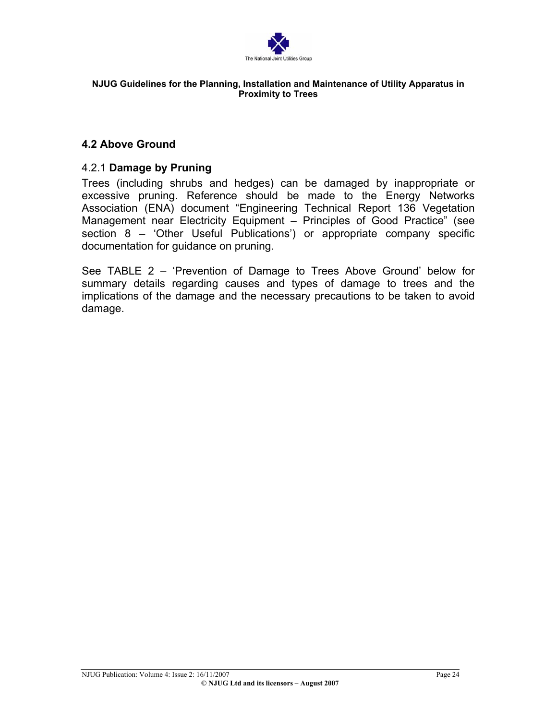

# **4.2 Above Ground**

## 4.2.1 **Damage by Pruning**

Trees (including shrubs and hedges) can be damaged by inappropriate or excessive pruning. Reference should be made to the Energy Networks Association (ENA) document "Engineering Technical Report 136 Vegetation Management near Electricity Equipment – Principles of Good Practice" (see section 8 – 'Other Useful Publications') or appropriate company specific documentation for guidance on pruning.

See TABLE 2 – 'Prevention of Damage to Trees Above Ground' below for summary details regarding causes and types of damage to trees and the implications of the damage and the necessary precautions to be taken to avoid damage.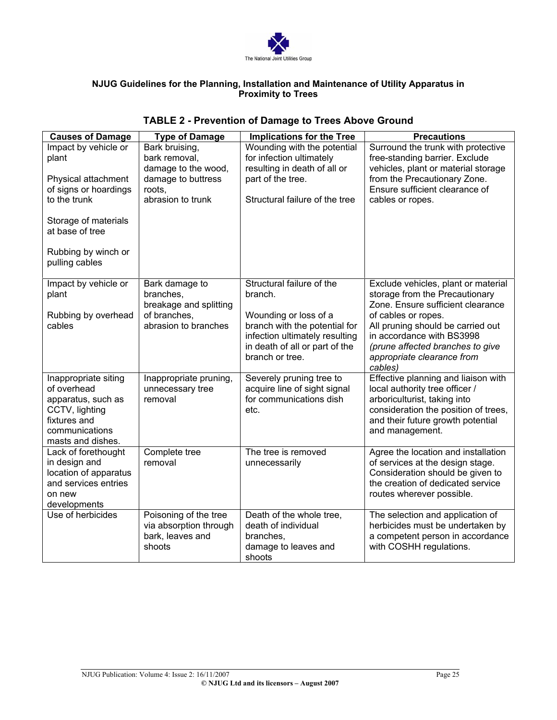

| <b>Causes of Damage</b>                 | <b>Type of Damage</b>                | <b>Implications for the Tree</b>                                 | <b>Precautions</b>                                                    |
|-----------------------------------------|--------------------------------------|------------------------------------------------------------------|-----------------------------------------------------------------------|
| Impact by vehicle or                    | Bark bruising,                       | Wounding with the potential<br>for infection ultimately          | Surround the trunk with protective                                    |
| plant                                   | bark removal,<br>damage to the wood, | resulting in death of all or                                     | free-standing barrier. Exclude<br>vehicles, plant or material storage |
| Physical attachment                     | damage to buttress                   | part of the tree.                                                | from the Precautionary Zone.                                          |
| of signs or hoardings                   | roots.                               |                                                                  | Ensure sufficient clearance of                                        |
| to the trunk                            | abrasion to trunk                    | Structural failure of the tree                                   | cables or ropes.                                                      |
|                                         |                                      |                                                                  |                                                                       |
| Storage of materials<br>at base of tree |                                      |                                                                  |                                                                       |
|                                         |                                      |                                                                  |                                                                       |
| Rubbing by winch or                     |                                      |                                                                  |                                                                       |
| pulling cables                          |                                      |                                                                  |                                                                       |
|                                         |                                      |                                                                  |                                                                       |
| Impact by vehicle or                    | Bark damage to                       | Structural failure of the                                        | Exclude vehicles, plant or material                                   |
| plant                                   | branches.                            | branch.                                                          | storage from the Precautionary                                        |
|                                         | breakage and splitting               |                                                                  | Zone. Ensure sufficient clearance                                     |
| Rubbing by overhead                     | of branches.<br>abrasion to branches | Wounding or loss of a                                            | of cables or ropes.                                                   |
| cables                                  |                                      | branch with the potential for                                    | All pruning should be carried out<br>in accordance with BS3998        |
|                                         |                                      | infection ultimately resulting<br>in death of all or part of the |                                                                       |
|                                         |                                      | branch or tree.                                                  | (prune affected branches to give<br>appropriate clearance from        |
|                                         |                                      |                                                                  | cables)                                                               |
| Inappropriate siting                    | Inappropriate pruning,               | Severely pruning tree to                                         | Effective planning and liaison with                                   |
| of overhead                             | unnecessary tree                     | acquire line of sight signal                                     | local authority tree officer /                                        |
| apparatus, such as                      | removal                              | for communications dish                                          | arboriculturist, taking into                                          |
| CCTV, lighting                          |                                      | etc.                                                             | consideration the position of trees,                                  |
| fixtures and                            |                                      |                                                                  | and their future growth potential                                     |
| communications                          |                                      |                                                                  | and management.                                                       |
| masts and dishes.                       |                                      |                                                                  |                                                                       |
| Lack of forethought                     | Complete tree                        | The tree is removed                                              | Agree the location and installation                                   |
| in design and                           | removal                              | unnecessarily                                                    | of services at the design stage.                                      |
| location of apparatus                   |                                      |                                                                  | Consideration should be given to                                      |
| and services entries                    |                                      |                                                                  | the creation of dedicated service                                     |
| on new                                  |                                      |                                                                  | routes wherever possible.                                             |
| developments                            |                                      |                                                                  |                                                                       |
| Use of herbicides                       | Poisoning of the tree                | Death of the whole tree.                                         | The selection and application of                                      |
|                                         | via absorption through               | death of individual                                              | herbicides must be undertaken by                                      |
|                                         | bark, leaves and                     | branches,                                                        | a competent person in accordance                                      |
|                                         | shoots                               | damage to leaves and                                             | with COSHH regulations.                                               |
|                                         |                                      | shoots                                                           |                                                                       |

# **TABLE 2 - Prevention of Damage to Trees Above Ground**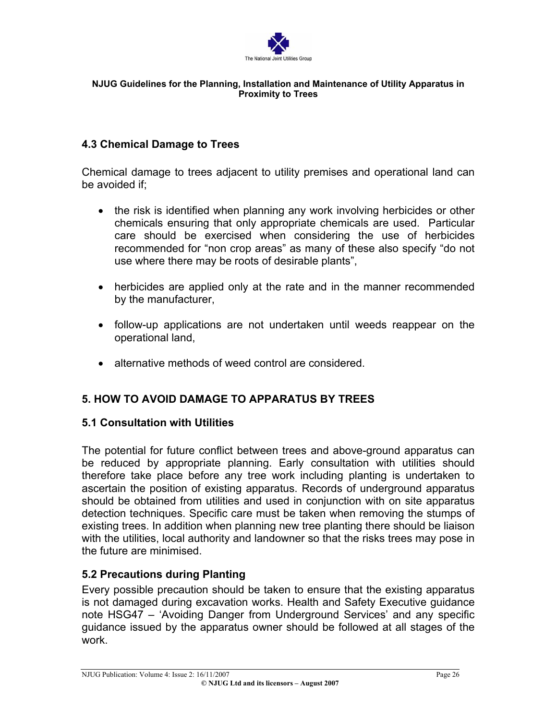

# **4.3 Chemical Damage to Trees**

Chemical damage to trees adjacent to utility premises and operational land can be avoided if;

- the risk is identified when planning any work involving herbicides or other chemicals ensuring that only appropriate chemicals are used. Particular care should be exercised when considering the use of herbicides recommended for "non crop areas" as many of these also specify "do not use where there may be roots of desirable plants",
- herbicides are applied only at the rate and in the manner recommended by the manufacturer,
- follow-up applications are not undertaken until weeds reappear on the operational land,
- alternative methods of weed control are considered.

# **5. HOW TO AVOID DAMAGE TO APPARATUS BY TREES**

# **5.1 Consultation with Utilities**

The potential for future conflict between trees and above-ground apparatus can be reduced by appropriate planning. Early consultation with utilities should therefore take place before any tree work including planting is undertaken to ascertain the position of existing apparatus. Records of underground apparatus should be obtained from utilities and used in conjunction with on site apparatus detection techniques. Specific care must be taken when removing the stumps of existing trees. In addition when planning new tree planting there should be liaison with the utilities, local authority and landowner so that the risks trees may pose in the future are minimised.

# **5.2 Precautions during Planting**

Every possible precaution should be taken to ensure that the existing apparatus is not damaged during excavation works. Health and Safety Executive guidance note HSG47 – 'Avoiding Danger from Underground Services' and any specific guidance issued by the apparatus owner should be followed at all stages of the work.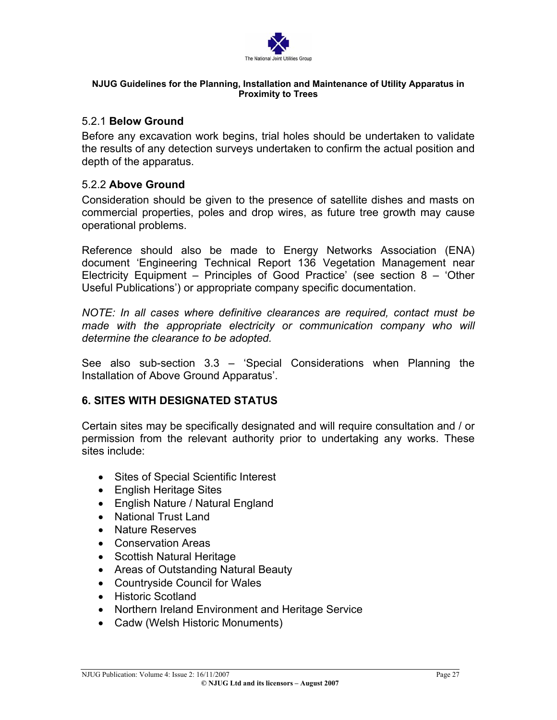

## 5.2.1 **Below Ground**

Before any excavation work begins, trial holes should be undertaken to validate the results of any detection surveys undertaken to confirm the actual position and depth of the apparatus.

# 5.2.2 **Above Ground**

Consideration should be given to the presence of satellite dishes and masts on commercial properties, poles and drop wires, as future tree growth may cause operational problems.

Reference should also be made to Energy Networks Association (ENA) document 'Engineering Technical Report 136 Vegetation Management near Electricity Equipment – Principles of Good Practice' (see section 8 – 'Other Useful Publications') or appropriate company specific documentation.

*NOTE: In all cases where definitive clearances are required, contact must be made with the appropriate electricity or communication company who will determine the clearance to be adopted.* 

See also sub-section 3.3 – 'Special Considerations when Planning the Installation of Above Ground Apparatus'.

# **6. SITES WITH DESIGNATED STATUS**

Certain sites may be specifically designated and will require consultation and / or permission from the relevant authority prior to undertaking any works. These sites include:

- Sites of Special Scientific Interest
- English Heritage Sites
- English Nature / Natural England
- National Trust Land
- Nature Reserves
- Conservation Areas
- Scottish Natural Heritage
- Areas of Outstanding Natural Beauty
- Countryside Council for Wales
- Historic Scotland
- Northern Ireland Environment and Heritage Service
- Cadw (Welsh Historic Monuments)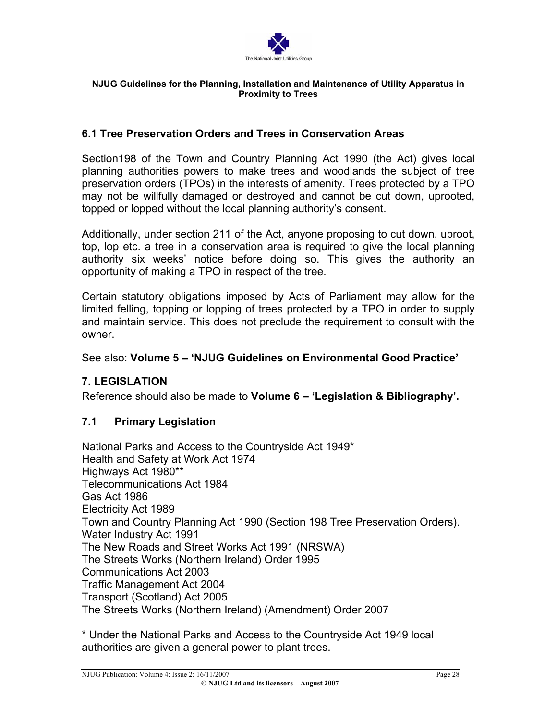

# **6.1 Tree Preservation Orders and Trees in Conservation Areas**

Section198 of the Town and Country Planning Act 1990 (the Act) gives local planning authorities powers to make trees and woodlands the subject of tree preservation orders (TPOs) in the interests of amenity. Trees protected by a TPO may not be willfully damaged or destroyed and cannot be cut down, uprooted, topped or lopped without the local planning authority's consent.

Additionally, under section 211 of the Act, anyone proposing to cut down, uproot, top, lop etc. a tree in a conservation area is required to give the local planning authority six weeks' notice before doing so. This gives the authority an opportunity of making a TPO in respect of the tree.

Certain statutory obligations imposed by Acts of Parliament may allow for the limited felling, topping or lopping of trees protected by a TPO in order to supply and maintain service. This does not preclude the requirement to consult with the owner.

## See also: **Volume 5 – 'NJUG Guidelines on Environmental Good Practice'**

# **7. LEGISLATION**

Reference should also be made to **Volume 6 – 'Legislation & Bibliography'.** 

# **7.1 Primary Legislation**

National Parks and Access to the Countryside Act 1949\* Health and Safety at Work Act 1974 Highways Act 1980\*\* Telecommunications Act 1984 Gas Act 1986 Electricity Act 1989 Town and Country Planning Act 1990 (Section 198 Tree Preservation Orders). Water Industry Act 1991 The New Roads and Street Works Act 1991 (NRSWA) The Streets Works (Northern Ireland) Order 1995 Communications Act 2003 Traffic Management Act 2004 Transport (Scotland) Act 2005 The Streets Works (Northern Ireland) (Amendment) Order 2007

\* Under the National Parks and Access to the Countryside Act 1949 local authorities are given a general power to plant trees.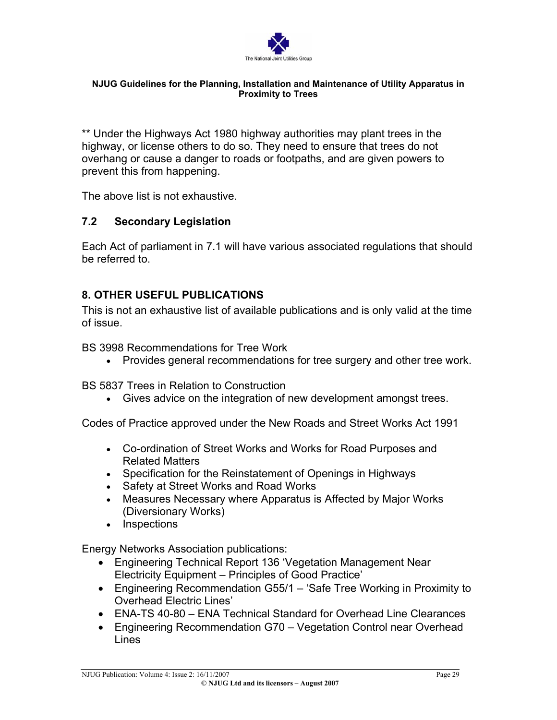

\*\* Under the Highways Act 1980 highway authorities may plant trees in the highway, or license others to do so. They need to ensure that trees do not overhang or cause a danger to roads or footpaths, and are given powers to prevent this from happening.

The above list is not exhaustive.

# **7.2 Secondary Legislation**

Each Act of parliament in 7.1 will have various associated regulations that should be referred to.

# **8. OTHER USEFUL PUBLICATIONS**

This is not an exhaustive list of available publications and is only valid at the time of issue.

BS 3998 Recommendations for Tree Work

• Provides general recommendations for tree surgery and other tree work.

BS 5837 Trees in Relation to Construction

• Gives advice on the integration of new development amongst trees.

Codes of Practice approved under the New Roads and Street Works Act 1991

- Co-ordination of Street Works and Works for Road Purposes and Related Matters
- Specification for the Reinstatement of Openings in Highways
- Safety at Street Works and Road Works
- Measures Necessary where Apparatus is Affected by Major Works (Diversionary Works)
- Inspections

Energy Networks Association publications:

- Engineering Technical Report 136 'Vegetation Management Near Electricity Equipment – Principles of Good Practice'
- Engineering Recommendation G55/1 'Safe Tree Working in Proximity to Overhead Electric Lines'
- ENA-TS 40-80 ENA Technical Standard for Overhead Line Clearances
- Engineering Recommendation G70 Vegetation Control near Overhead Lines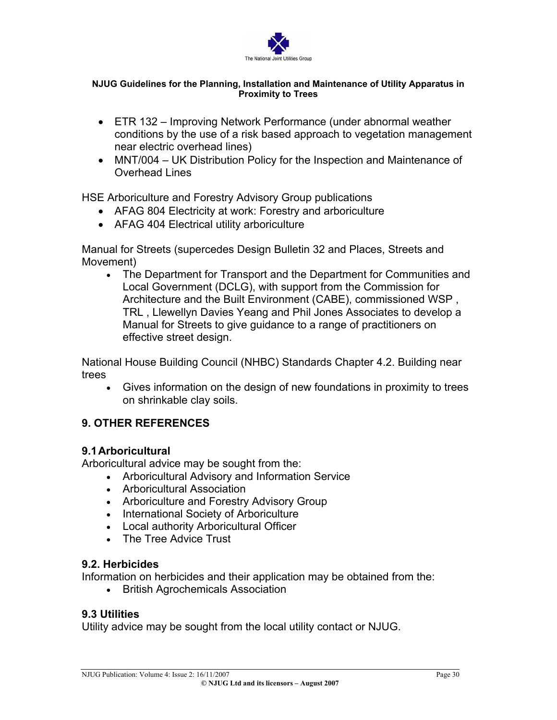

- ETR 132 Improving Network Performance (under abnormal weather conditions by the use of a risk based approach to vegetation management near electric overhead lines)
- MNT/004 UK Distribution Policy for the Inspection and Maintenance of Overhead Lines

HSE Arboriculture and Forestry Advisory Group publications

- AFAG 804 Electricity at work: Forestry and arboriculture
- AFAG 404 Electrical utility arboriculture

Manual for Streets (supercedes Design Bulletin 32 and Places, Streets and Movement)

The Department for Transport and the Department for [Communities](http://www.dclg.gov.uk/) and • [Local Government \(DCLG\),](http://www.dclg.gov.uk/) with support from the [Commission](http://www.cabe.org.uk/) for [Architecture and the Built Environment](http://www.cabe.org.uk/) (CABE), commissioned [WSP](http://www.wspgroup.com/) , [TRL](http://www.trl.co.uk/) , [Llewellyn](http://www.ldavies.com/) Davies Yeang and Phil Jones [Associates](http://www.philjonesassociates.co.uk/) to develop a Manual for Streets to give guidance to a range of practitioners on effective street design.

National House Building Council (NHBC) Standards Chapter 4.2. Building near trees

• Gives information on the design of new foundations in proximity to trees on shrinkable clay soils.

# **9. OTHER REFERENCES**

# **9.1 Arboricultural**

Arboricultural advice may be sought from the:

- Arboricultural Advisory and Information Service
- Arboricultural Association
- Arboriculture and Forestry Advisory Group
- International Society of Arboriculture
- Local authority Arboricultural Officer
- The Tree Advice Trust

# **9.2. Herbicides**

Information on herbicides and their application may be obtained from the:

• British Agrochemicals Association

# **9.3 Utilities**

Utility advice may be sought from the local utility contact or NJUG.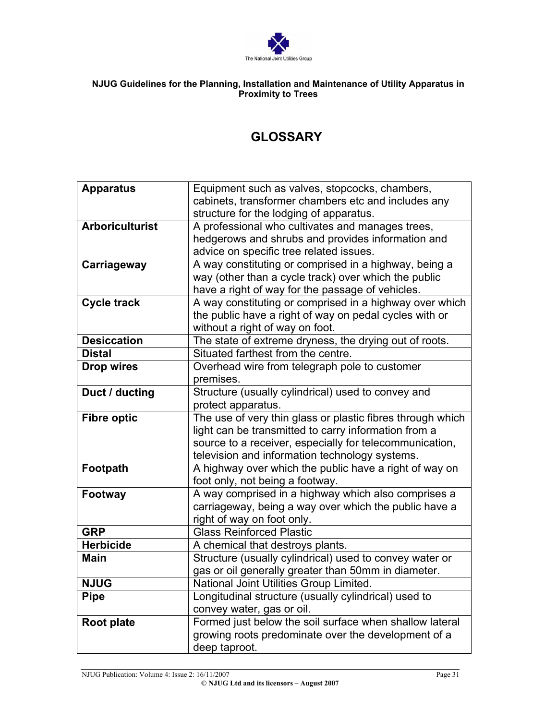

# **GLOSSARY**

| <b>Apparatus</b>       | Equipment such as valves, stopcocks, chambers,             |
|------------------------|------------------------------------------------------------|
|                        | cabinets, transformer chambers etc and includes any        |
|                        | structure for the lodging of apparatus.                    |
| <b>Arboriculturist</b> | A professional who cultivates and manages trees,           |
|                        | hedgerows and shrubs and provides information and          |
|                        | advice on specific tree related issues.                    |
| Carriageway            | A way constituting or comprised in a highway, being a      |
|                        | way (other than a cycle track) over which the public       |
|                        | have a right of way for the passage of vehicles.           |
| <b>Cycle track</b>     | A way constituting or comprised in a highway over which    |
|                        | the public have a right of way on pedal cycles with or     |
|                        | without a right of way on foot.                            |
| <b>Desiccation</b>     | The state of extreme dryness, the drying out of roots.     |
| <b>Distal</b>          | Situated farthest from the centre.                         |
| <b>Drop wires</b>      | Overhead wire from telegraph pole to customer              |
|                        | premises.                                                  |
| Duct / ducting         | Structure (usually cylindrical) used to convey and         |
|                        | protect apparatus.                                         |
| <b>Fibre optic</b>     | The use of very thin glass or plastic fibres through which |
|                        | light can be transmitted to carry information from a       |
|                        | source to a receiver, especially for telecommunication,    |
|                        | television and information technology systems.             |
| Footpath               | A highway over which the public have a right of way on     |
|                        | foot only, not being a footway.                            |
| Footway                | A way comprised in a highway which also comprises a        |
|                        | carriageway, being a way over which the public have a      |
|                        | right of way on foot only.                                 |
| <b>GRP</b>             | <b>Glass Reinforced Plastic</b>                            |
| <b>Herbicide</b>       | A chemical that destroys plants.                           |
| <b>Main</b>            | Structure (usually cylindrical) used to convey water or    |
|                        | gas or oil generally greater than 50mm in diameter.        |
| <b>NJUG</b>            | National Joint Utilities Group Limited.                    |
| <b>Pipe</b>            | Longitudinal structure (usually cylindrical) used to       |
|                        | convey water, gas or oil.                                  |
| Root plate             | Formed just below the soil surface when shallow lateral    |
|                        | growing roots predominate over the development of a        |
|                        | deep taproot.                                              |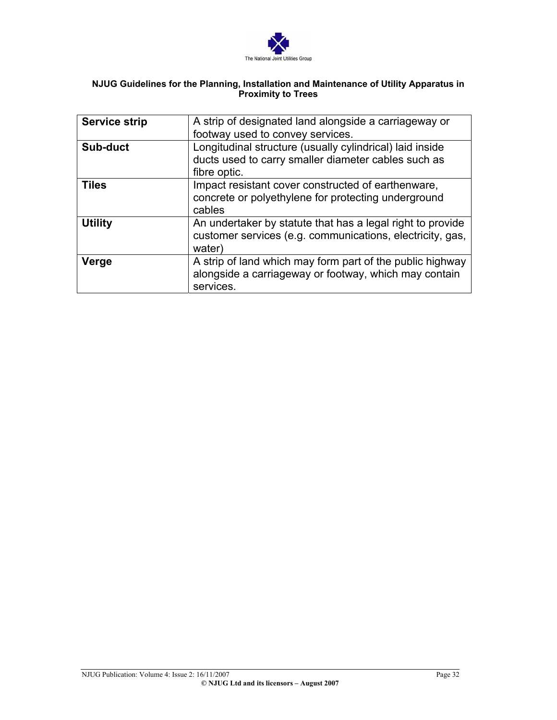

| <b>Service strip</b> | A strip of designated land alongside a carriageway or<br>footway used to convey services.                                         |
|----------------------|-----------------------------------------------------------------------------------------------------------------------------------|
| Sub-duct             | Longitudinal structure (usually cylindrical) laid inside<br>ducts used to carry smaller diameter cables such as<br>fibre optic.   |
| <b>Tiles</b>         | Impact resistant cover constructed of earthenware,<br>concrete or polyethylene for protecting underground<br>cables               |
| <b>Utility</b>       | An undertaker by statute that has a legal right to provide<br>customer services (e.g. communications, electricity, gas,<br>water) |
| Verge                | A strip of land which may form part of the public highway<br>alongside a carriageway or footway, which may contain<br>services.   |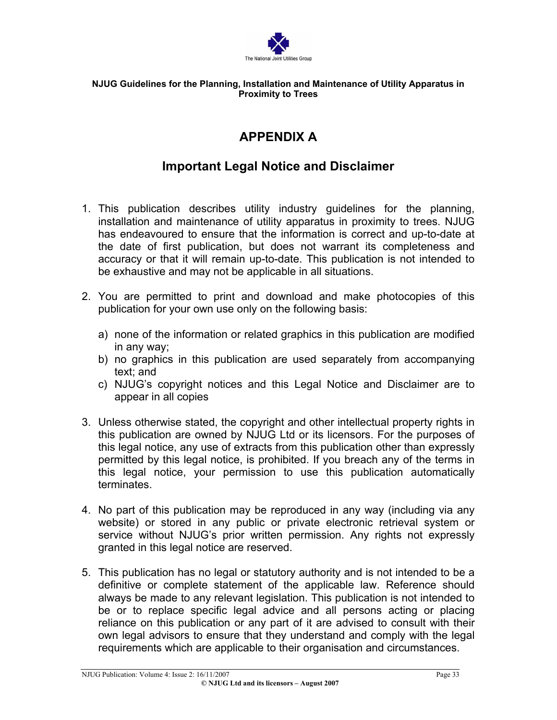

# **APPENDIX A**

# **Important Legal Notice and Disclaimer**

- 1. This publication describes utility industry guidelines for the planning, installation and maintenance of utility apparatus in proximity to trees. NJUG has endeavoured to ensure that the information is correct and up-to-date at the date of first publication, but does not warrant its completeness and accuracy or that it will remain up-to-date. This publication is not intended to be exhaustive and may not be applicable in all situations.
- 2. You are permitted to print and download and make photocopies of this publication for your own use only on the following basis:
	- a) none of the information or related graphics in this publication are modified in any way;
	- b) no graphics in this publication are used separately from accompanying text; and
	- c) NJUG's copyright notices and this Legal Notice and Disclaimer are to appear in all copies
- 3. Unless otherwise stated, the copyright and other intellectual property rights in this publication are owned by NJUG Ltd or its licensors. For the purposes of this legal notice, any use of extracts from this publication other than expressly permitted by this legal notice, is prohibited. If you breach any of the terms in this legal notice, your permission to use this publication automatically terminates.
- 4. No part of this publication may be reproduced in any way (including via any website) or stored in any public or private electronic retrieval system or service without NJUG's prior written permission. Any rights not expressly granted in this legal notice are reserved.
- 5. This publication has no legal or statutory authority and is not intended to be a definitive or complete statement of the applicable law. Reference should always be made to any relevant legislation. This publication is not intended to be or to replace specific legal advice and all persons acting or placing reliance on this publication or any part of it are advised to consult with their own legal advisors to ensure that they understand and comply with the legal requirements which are applicable to their organisation and circumstances.